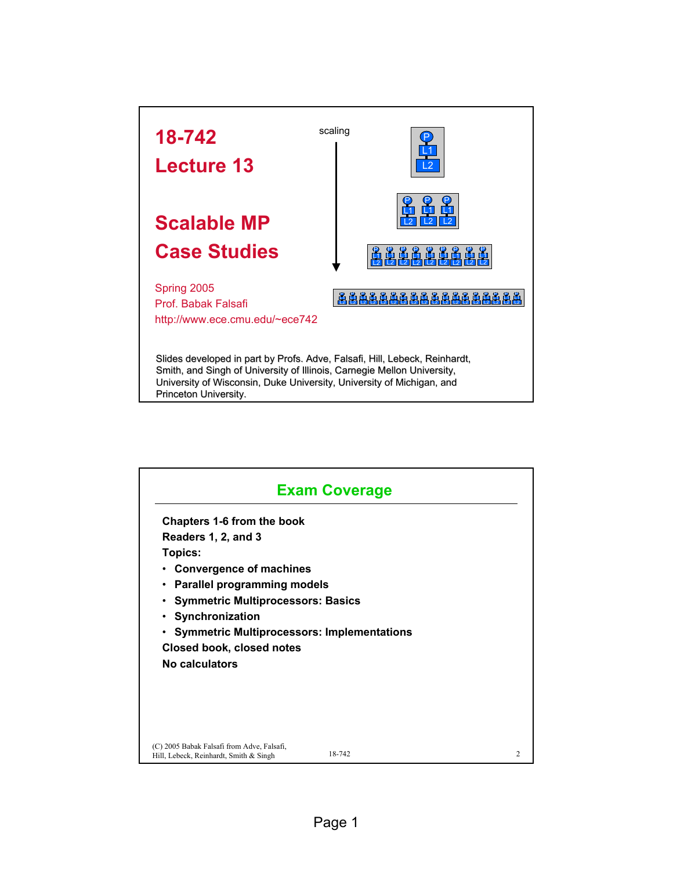

| <b>Exam Coverage</b>                                                                 |        |                |
|--------------------------------------------------------------------------------------|--------|----------------|
| Chapters 1-6 from the book                                                           |        |                |
| Readers 1, 2, and 3                                                                  |        |                |
| <b>Topics:</b>                                                                       |        |                |
| <b>Convergence of machines</b>                                                       |        |                |
| • Parallel programming models                                                        |        |                |
| • Symmetric Multiprocessors: Basics                                                  |        |                |
| • Synchronization                                                                    |        |                |
| <b>Symmetric Multiprocessors: Implementations</b>                                    |        |                |
| Closed book, closed notes                                                            |        |                |
| No calculators                                                                       |        |                |
|                                                                                      |        |                |
|                                                                                      |        |                |
| (C) 2005 Babak Falsafi from Adve, Falsafi,<br>Hill, Lebeck, Reinhardt, Smith & Singh | 18-742 | $\mathfrak{D}$ |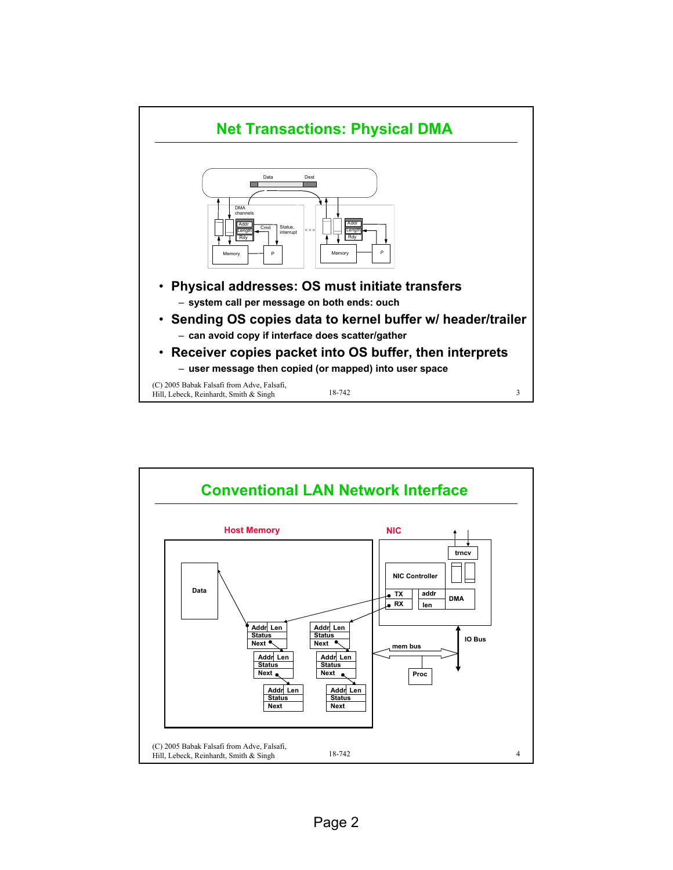

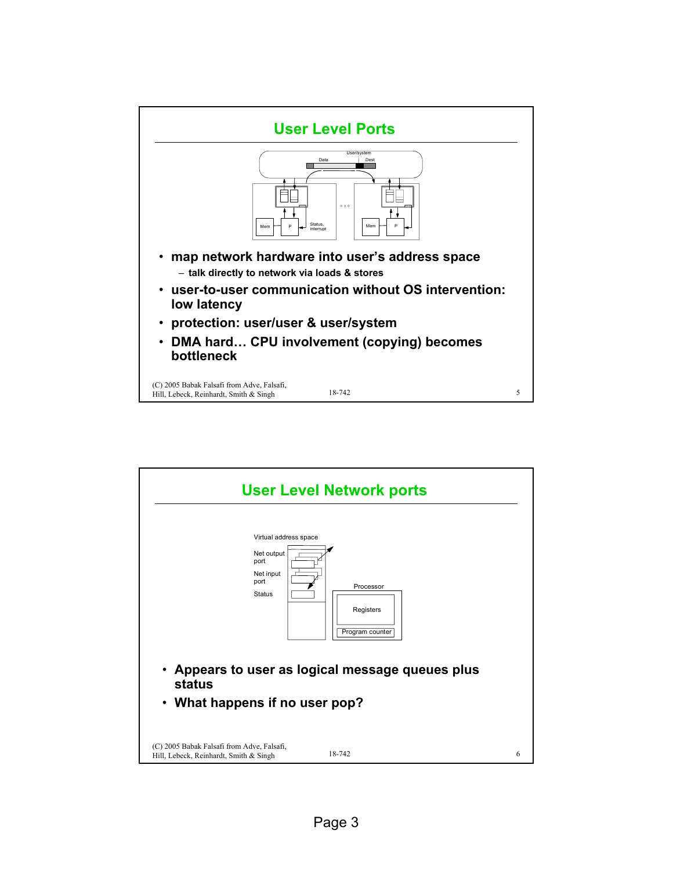

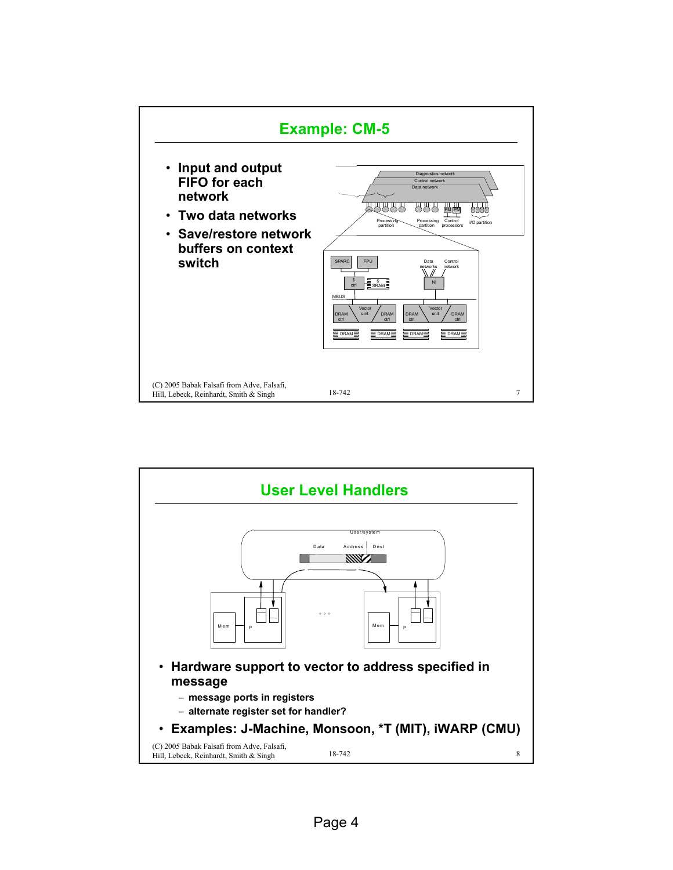

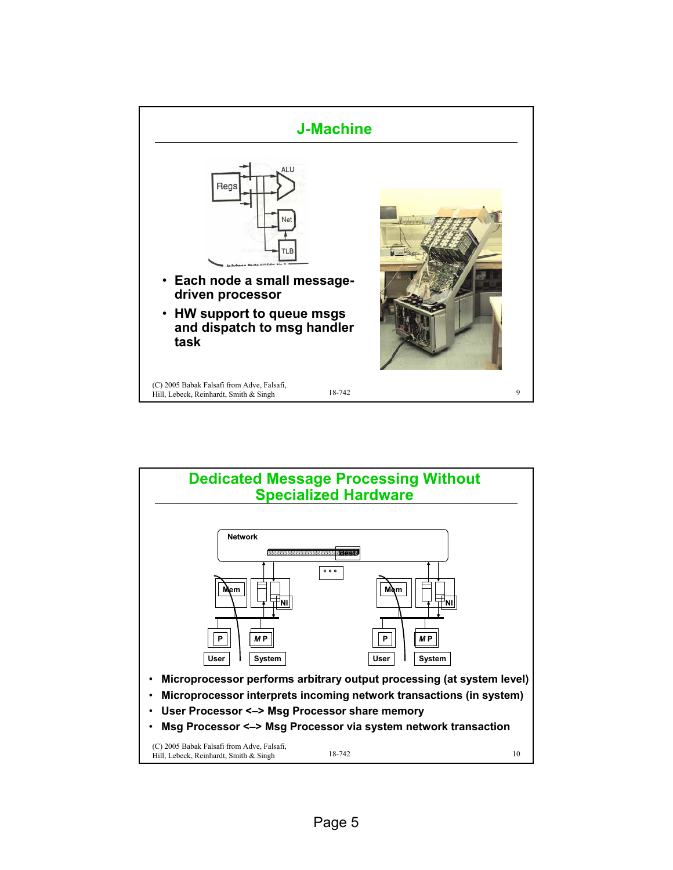

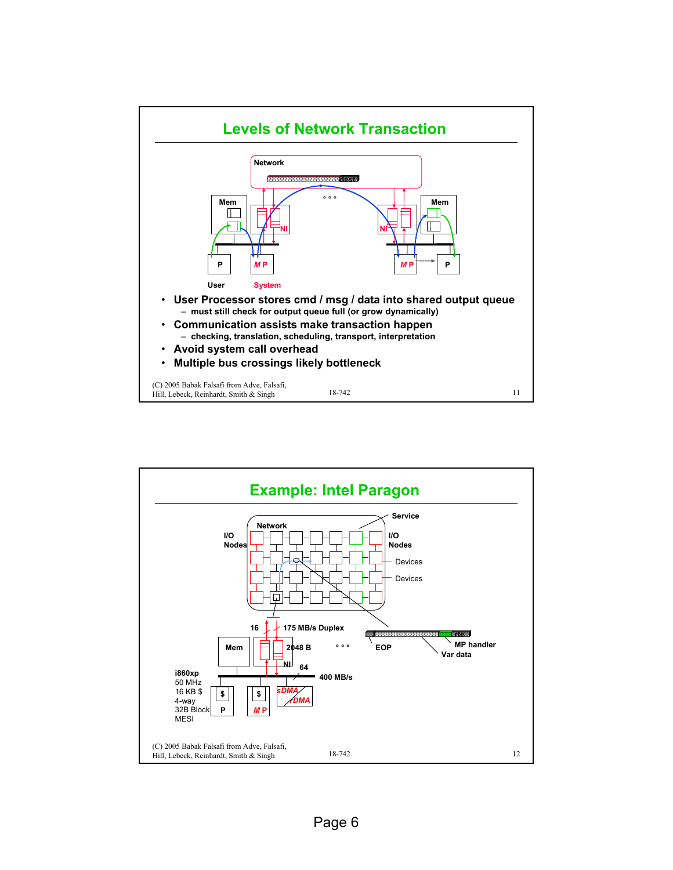

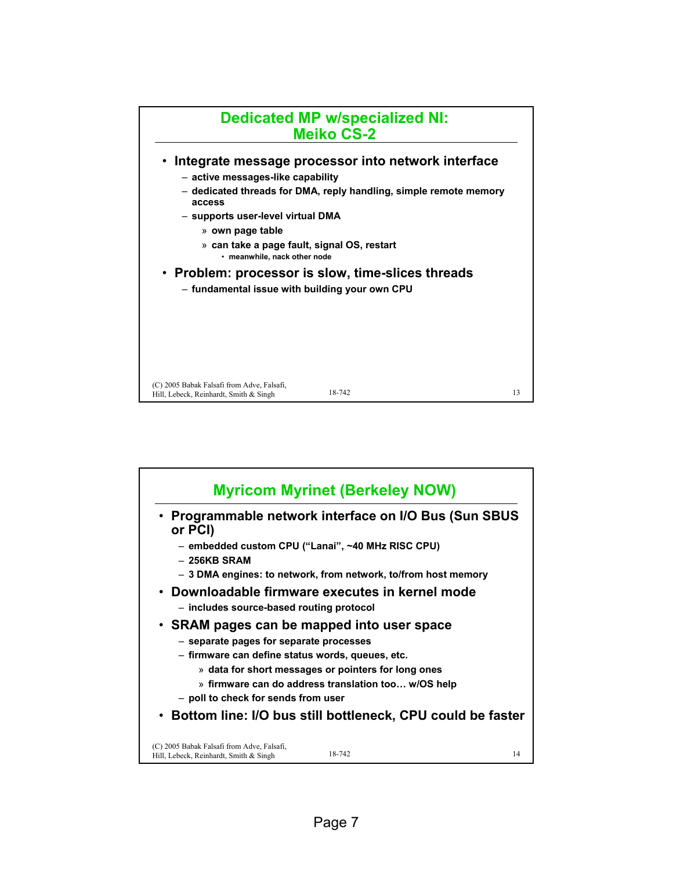

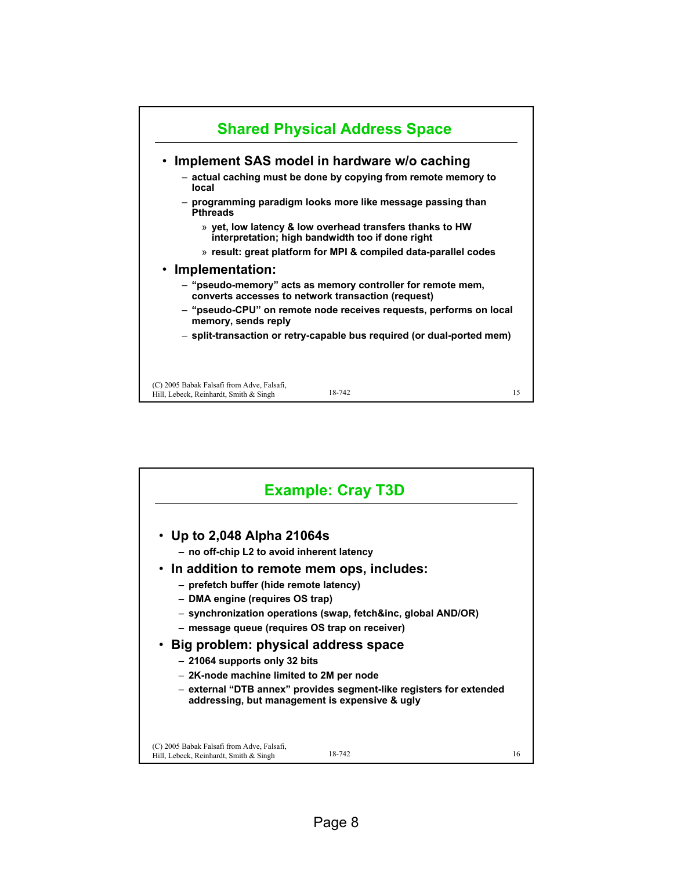

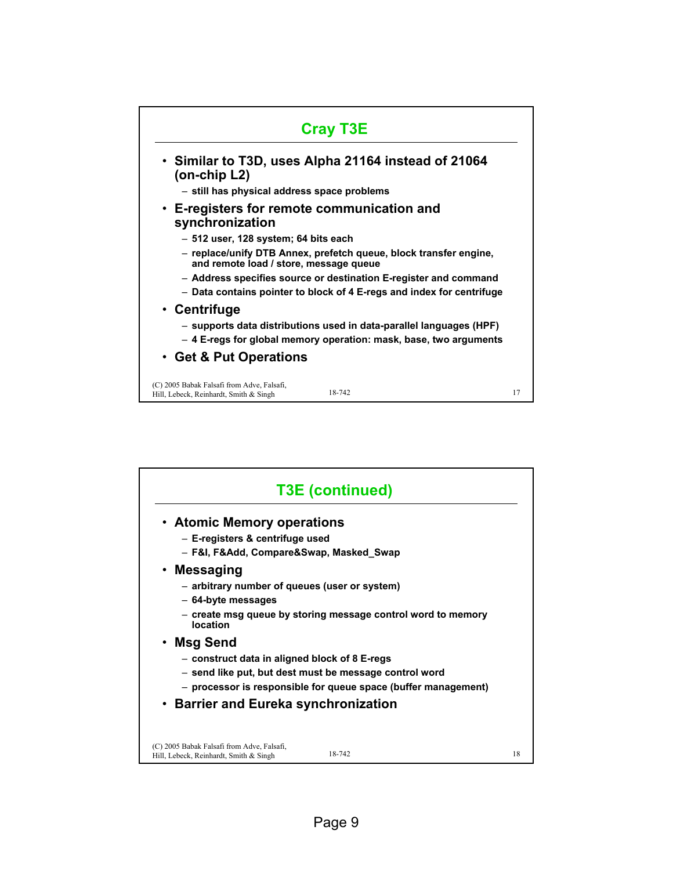

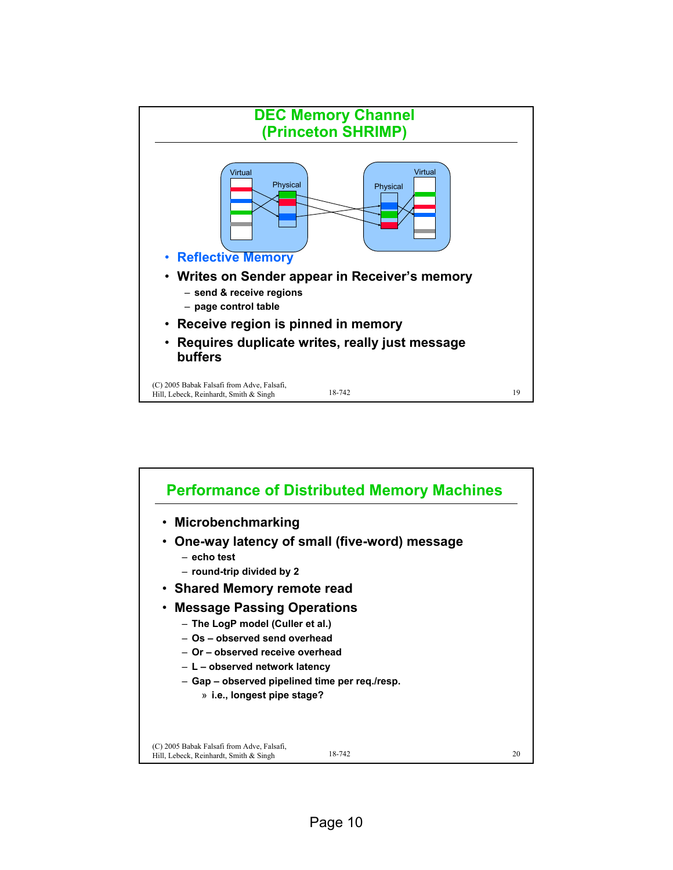

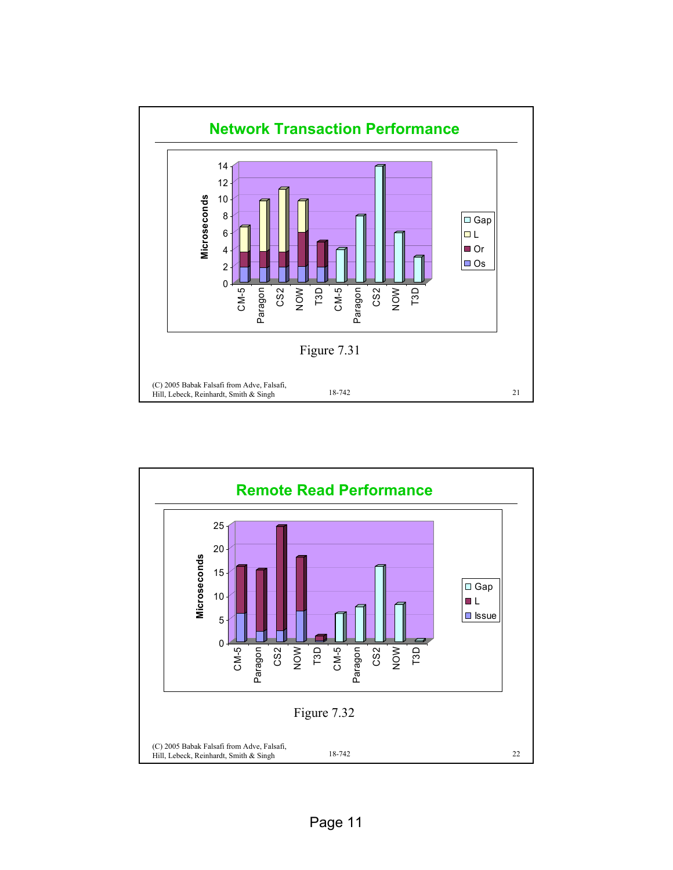